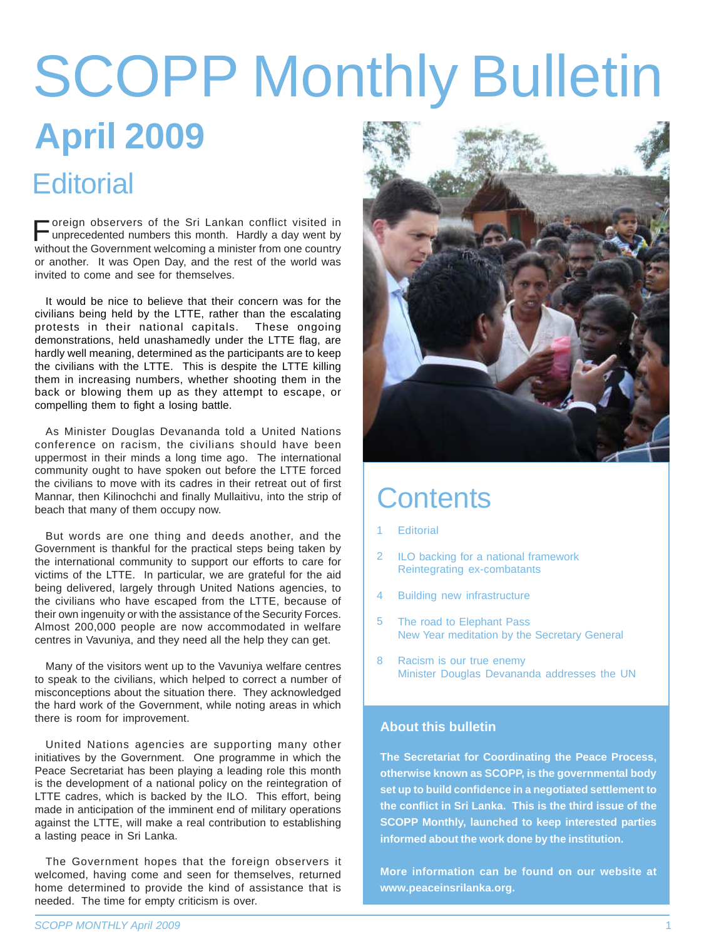# **April 2009** SCOPP Monthly Bulletin

#### **Editorial**

Foreign observers of the Sri Lankan conflict visited in unprecedented numbers this month. Hardly a day went by without the Government welcoming a minister from one country or another. It was Open Day, and the rest of the world was invited to come and see for themselves.

It would be nice to believe that their concern was for the civilians being held by the LTTE, rather than the escalating protests in their national capitals. These ongoing demonstrations, held unashamedly under the LTTE flag, are hardly well meaning, determined as the participants are to keep the civilians with the LTTE. This is despite the LTTE killing them in increasing numbers, whether shooting them in the back or blowing them up as they attempt to escape, or compelling them to fight a losing battle.

As Minister Douglas Devananda told a United Nations conference on racism, the civilians should have been uppermost in their minds a long time ago. The international community ought to have spoken out before the LTTE forced the civilians to move with its cadres in their retreat out of first Mannar, then Kilinochchi and finally Mullaitivu, into the strip of beach that many of them occupy now.

But words are one thing and deeds another, and the Government is thankful for the practical steps being taken by the international community to support our efforts to care for victims of the LTTE. In particular, we are grateful for the aid being delivered, largely through United Nations agencies, to the civilians who have escaped from the LTTE, because of their own ingenuity or with the assistance of the Security Forces. Almost 200,000 people are now accommodated in welfare centres in Vavuniya, and they need all the help they can get.

Many of the visitors went up to the Vavuniya welfare centres to speak to the civilians, which helped to correct a number of misconceptions about the situation there. They acknowledged the hard work of the Government, while noting areas in which there is room for improvement.

United Nations agencies are supporting many other initiatives by the Government. One programme in which the Peace Secretariat has been playing a leading role this month is the development of a national policy on the reintegration of LTTE cadres, which is backed by the ILO. This effort, being made in anticipation of the imminent end of military operations against the LTTE, will make a real contribution to establishing a lasting peace in Sri Lanka.

The Government hopes that the foreign observers it welcomed, having come and seen for themselves, returned home determined to provide the kind of assistance that is needed. The time for empty criticism is over.



#### **Contents**

- **Editorial** 1
- ILO backing for a national framework Reintegrating ex-combatants 2
- Building new infrastructure 4
- The road to Elephant Pass New Year meditation by the Secretary General 5
- Racism is our true enemy Minister Douglas Devananda addresses the UN 8

#### **About this bulletin**

**The Secretariat for Coordinating the Peace Process, otherwise known as SCOPP, is the governmental body set up to build confidence in a negotiated settlement to the conflict in Sri Lanka. This is the third issue of the SCOPP Monthly, launched to keep interested parties informed about the work done by the institution.**

**More information can be found on our website at www.peaceinsrilanka.org.**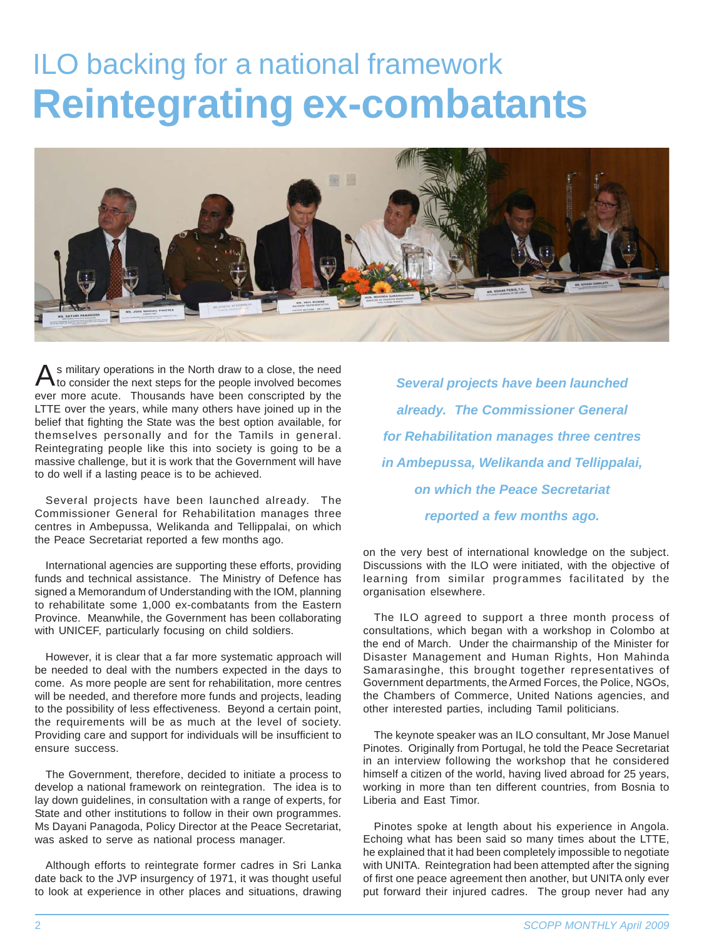#### ILO backing for a national framework **Reintegrating ex-combatants**



s military operations in the North draw to a close, the need<br>Ato consider the next steps for the people involved becomes *Several projects have been launched* ever more acute. Thousands have been conscripted by the LTTE over the years, while many others have joined up in the belief that fighting the State was the best option available, for themselves personally and for the Tamils in general. Reintegrating people like this into society is going to be a massive challenge, but it is work that the Government will have to do well if a lasting peace is to be achieved.

Several projects have been launched already. The Commissioner General for Rehabilitation manages three centres in Ambepussa, Welikanda and Tellippalai, on which the Peace Secretariat reported a few months ago.

International agencies are supporting these efforts, providing funds and technical assistance. The Ministry of Defence has signed a Memorandum of Understanding with the IOM, planning to rehabilitate some 1,000 ex-combatants from the Eastern Province. Meanwhile, the Government has been collaborating with UNICEF, particularly focusing on child soldiers.

However, it is clear that a far more systematic approach will be needed to deal with the numbers expected in the days to come. As more people are sent for rehabilitation, more centres will be needed, and therefore more funds and projects, leading to the possibility of less effectiveness. Beyond a certain point, the requirements will be as much at the level of society. Providing care and support for individuals will be insufficient to ensure success.

The Government, therefore, decided to initiate a process to develop a national framework on reintegration. The idea is to lay down guidelines, in consultation with a range of experts, for State and other institutions to follow in their own programmes. Ms Dayani Panagoda, Policy Director at the Peace Secretariat, was asked to serve as national process manager.

Although efforts to reintegrate former cadres in Sri Lanka date back to the JVP insurgency of 1971, it was thought useful to look at experience in other places and situations, drawing

*already. The Commissioner General for Rehabilitation manages three centres in Ambepussa, Welikanda and Tellippalai, on which the Peace Secretariat reported a few months ago.*

on the very best of international knowledge on the subject. Discussions with the ILO were initiated, with the objective of learning from similar programmes facilitated by the organisation elsewhere.

The ILO agreed to support a three month process of consultations, which began with a workshop in Colombo at the end of March. Under the chairmanship of the Minister for Disaster Management and Human Rights, Hon Mahinda Samarasinghe, this brought together representatives of Government departments, the Armed Forces, the Police, NGOs, the Chambers of Commerce, United Nations agencies, and other interested parties, including Tamil politicians.

The keynote speaker was an ILO consultant, Mr Jose Manuel Pinotes. Originally from Portugal, he told the Peace Secretariat in an interview following the workshop that he considered himself a citizen of the world, having lived abroad for 25 years, working in more than ten different countries, from Bosnia to Liberia and East Timor.

Pinotes spoke at length about his experience in Angola. Echoing what has been said so many times about the LTTE, he explained that it had been completely impossible to negotiate with UNITA. Reintegration had been attempted after the signing of first one peace agreement then another, but UNITA only ever put forward their injured cadres. The group never had any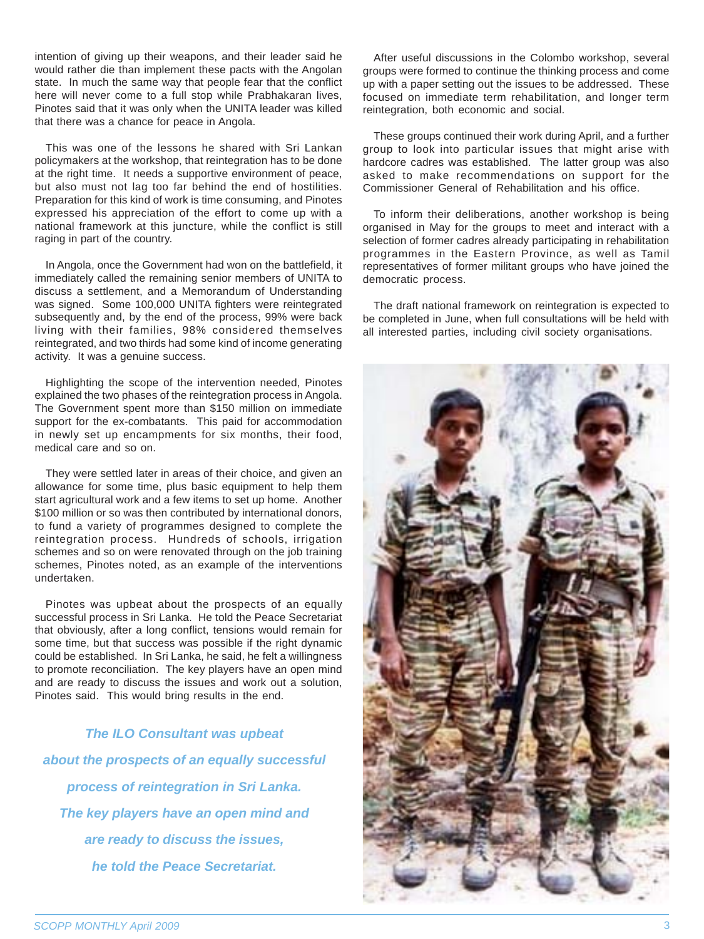intention of giving up their weapons, and their leader said he would rather die than implement these pacts with the Angolan state. In much the same way that people fear that the conflict here will never come to a full stop while Prabhakaran lives, Pinotes said that it was only when the UNITA leader was killed that there was a chance for peace in Angola.

This was one of the lessons he shared with Sri Lankan policymakers at the workshop, that reintegration has to be done at the right time. It needs a supportive environment of peace, but also must not lag too far behind the end of hostilities. Preparation for this kind of work is time consuming, and Pinotes expressed his appreciation of the effort to come up with a national framework at this juncture, while the conflict is still raging in part of the country.

In Angola, once the Government had won on the battlefield, it immediately called the remaining senior members of UNITA to discuss a settlement, and a Memorandum of Understanding was signed. Some 100,000 UNITA fighters were reintegrated subsequently and, by the end of the process, 99% were back living with their families, 98% considered themselves reintegrated, and two thirds had some kind of income generating activity. It was a genuine success.

Highlighting the scope of the intervention needed, Pinotes explained the two phases of the reintegration process in Angola. The Government spent more than \$150 million on immediate support for the ex-combatants. This paid for accommodation in newly set up encampments for six months, their food, medical care and so on.

They were settled later in areas of their choice, and given an allowance for some time, plus basic equipment to help them start agricultural work and a few items to set up home. Another \$100 million or so was then contributed by international donors, to fund a variety of programmes designed to complete the reintegration process. Hundreds of schools, irrigation schemes and so on were renovated through on the job training schemes, Pinotes noted, as an example of the interventions undertaken.

Pinotes was upbeat about the prospects of an equally successful process in Sri Lanka. He told the Peace Secretariat that obviously, after a long conflict, tensions would remain for some time, but that success was possible if the right dynamic could be established. In Sri Lanka, he said, he felt a willingness to promote reconciliation. The key players have an open mind and are ready to discuss the issues and work out a solution, Pinotes said. This would bring results in the end.

*The ILO Consultant was upbeat about the prospects of an equally successful process of reintegration in Sri Lanka. The key players have an open mind and are ready to discuss the issues, he told the Peace Secretariat.*

After useful discussions in the Colombo workshop, several groups were formed to continue the thinking process and come up with a paper setting out the issues to be addressed. These focused on immediate term rehabilitation, and longer term reintegration, both economic and social.

These groups continued their work during April, and a further group to look into particular issues that might arise with hardcore cadres was established. The latter group was also asked to make recommendations on support for the Commissioner General of Rehabilitation and his office.

To inform their deliberations, another workshop is being organised in May for the groups to meet and interact with a selection of former cadres already participating in rehabilitation programmes in the Eastern Province, as well as Tamil representatives of former militant groups who have joined the democratic process.

The draft national framework on reintegration is expected to be completed in June, when full consultations will be held with all interested parties, including civil society organisations.

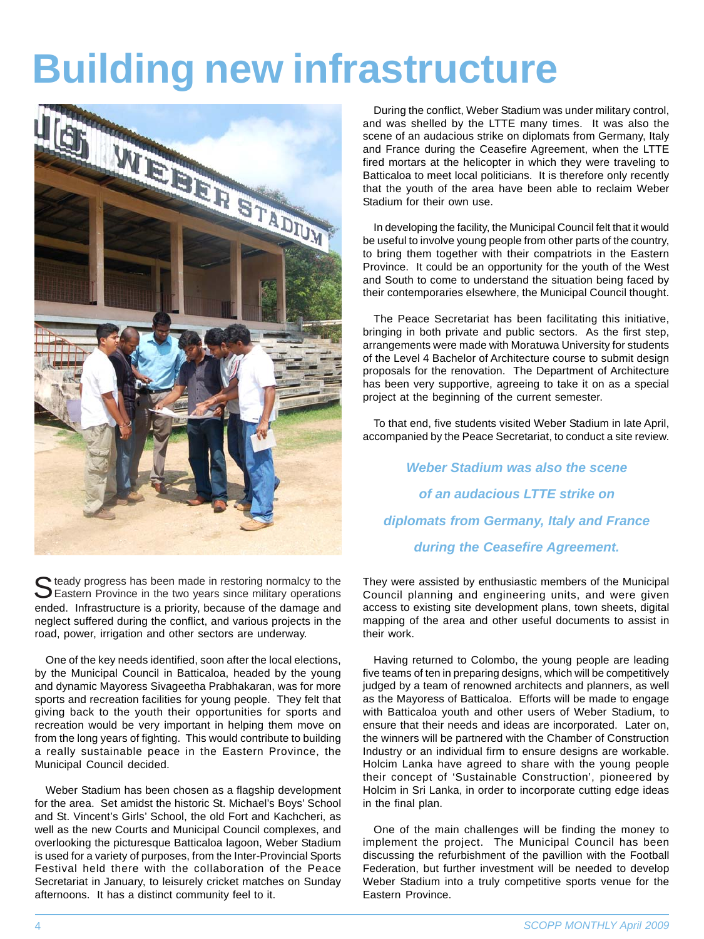## **Building new infrastructure**



Steady progress has been made in restoring normalcy to the<br>Eastern Province in the two years since military operations ended. Infrastructure is a priority, because of the damage and neglect suffered during the conflict, and various projects in the road, power, irrigation and other sectors are underway.

One of the key needs identified, soon after the local elections, by the Municipal Council in Batticaloa, headed by the young and dynamic Mayoress Sivageetha Prabhakaran, was for more sports and recreation facilities for young people. They felt that giving back to the youth their opportunities for sports and recreation would be very important in helping them move on from the long years of fighting. This would contribute to building a really sustainable peace in the Eastern Province, the Municipal Council decided.

Weber Stadium has been chosen as a flagship development for the area. Set amidst the historic St. Michael's Boys' School and St. Vincent's Girls' School, the old Fort and Kachcheri, as well as the new Courts and Municipal Council complexes, and overlooking the picturesque Batticaloa lagoon, Weber Stadium is used for a variety of purposes, from the Inter-Provincial Sports Festival held there with the collaboration of the Peace Secretariat in January, to leisurely cricket matches on Sunday afternoons. It has a distinct community feel to it.

During the conflict, Weber Stadium was under military control, and was shelled by the LTTE many times. It was also the scene of an audacious strike on diplomats from Germany, Italy and France during the Ceasefire Agreement, when the LTTE fired mortars at the helicopter in which they were traveling to Batticaloa to meet local politicians. It is therefore only recently that the youth of the area have been able to reclaim Weber Stadium for their own use.

In developing the facility, the Municipal Council felt that it would be useful to involve young people from other parts of the country, to bring them together with their compatriots in the Eastern Province. It could be an opportunity for the youth of the West and South to come to understand the situation being faced by their contemporaries elsewhere, the Municipal Council thought.

The Peace Secretariat has been facilitating this initiative, bringing in both private and public sectors. As the first step, arrangements were made with Moratuwa University for students of the Level 4 Bachelor of Architecture course to submit design proposals for the renovation. The Department of Architecture has been very supportive, agreeing to take it on as a special project at the beginning of the current semester.

To that end, five students visited Weber Stadium in late April, accompanied by the Peace Secretariat, to conduct a site review.

*Weber Stadium was also the scene of an audacious LTTE strike on diplomats from Germany, Italy and France during the Ceasefire Agreement.*

They were assisted by enthusiastic members of the Municipal Council planning and engineering units, and were given access to existing site development plans, town sheets, digital mapping of the area and other useful documents to assist in their work.

Having returned to Colombo, the young people are leading five teams of ten in preparing designs, which will be competitively judged by a team of renowned architects and planners, as well as the Mayoress of Batticaloa. Efforts will be made to engage with Batticaloa youth and other users of Weber Stadium, to ensure that their needs and ideas are incorporated. Later on, the winners will be partnered with the Chamber of Construction Industry or an individual firm to ensure designs are workable. Holcim Lanka have agreed to share with the young people their concept of 'Sustainable Construction', pioneered by Holcim in Sri Lanka, in order to incorporate cutting edge ideas in the final plan.

One of the main challenges will be finding the money to implement the project. The Municipal Council has been discussing the refurbishment of the pavillion with the Football Federation, but further investment will be needed to develop Weber Stadium into a truly competitive sports venue for the Eastern Province.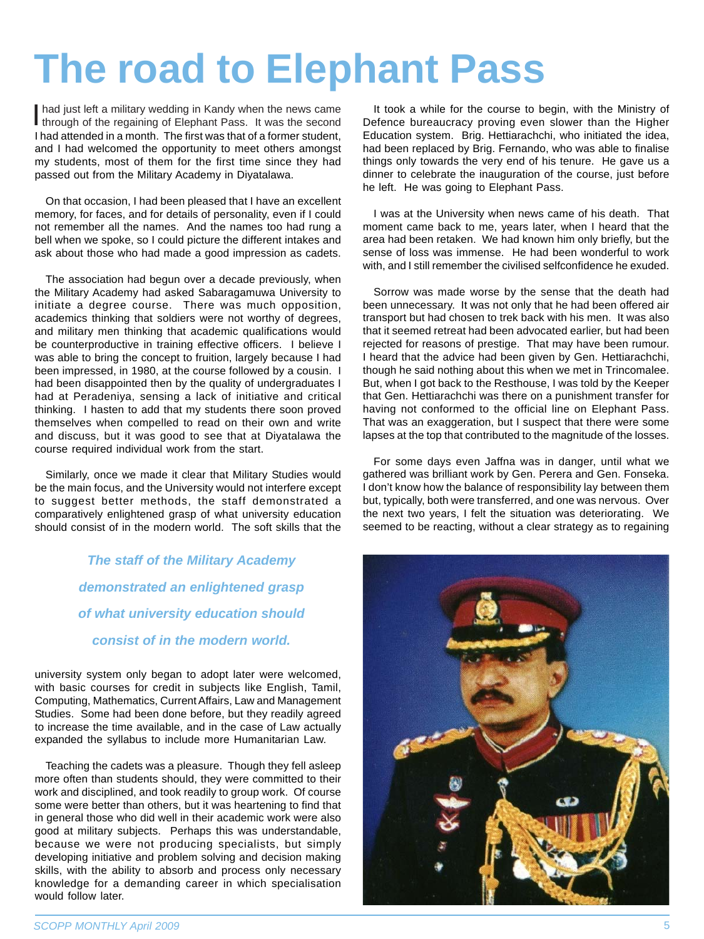## **The road to Elephant Pass**

I had just left a military wedding in Kandy when the news came through of the regaining of Elephant Pass. It was the second through of the regaining of Elephant Pass. It was the second I had attended in a month. The first was that of a former student, and I had welcomed the opportunity to meet others amongst my students, most of them for the first time since they had passed out from the Military Academy in Diyatalawa.

On that occasion, I had been pleased that I have an excellent memory, for faces, and for details of personality, even if I could not remember all the names. And the names too had rung a bell when we spoke, so I could picture the different intakes and ask about those who had made a good impression as cadets.

The association had begun over a decade previously, when the Military Academy had asked Sabaragamuwa University to initiate a degree course. There was much opposition, academics thinking that soldiers were not worthy of degrees, and military men thinking that academic qualifications would be counterproductive in training effective officers. I believe I was able to bring the concept to fruition, largely because I had been impressed, in 1980, at the course followed by a cousin. I had been disappointed then by the quality of undergraduates I had at Peradeniya, sensing a lack of initiative and critical thinking. I hasten to add that my students there soon proved themselves when compelled to read on their own and write and discuss, but it was good to see that at Diyatalawa the course required individual work from the start.

Similarly, once we made it clear that Military Studies would be the main focus, and the University would not interfere except to suggest better methods, the staff demonstrated a comparatively enlightened grasp of what university education should consist of in the modern world. The soft skills that the

> *The staff of the Military Academy demonstrated an enlightened grasp of what university education should consist of in the modern world.*

university system only began to adopt later were welcomed, with basic courses for credit in subjects like English, Tamil, Computing, Mathematics, Current Affairs, Law and Management Studies. Some had been done before, but they readily agreed to increase the time available, and in the case of Law actually expanded the syllabus to include more Humanitarian Law.

Teaching the cadets was a pleasure. Though they fell asleep more often than students should, they were committed to their work and disciplined, and took readily to group work. Of course some were better than others, but it was heartening to find that in general those who did well in their academic work were also good at military subjects. Perhaps this was understandable, because we were not producing specialists, but simply developing initiative and problem solving and decision making skills, with the ability to absorb and process only necessary knowledge for a demanding career in which specialisation would follow later.

It took a while for the course to begin, with the Ministry of Defence bureaucracy proving even slower than the Higher Education system. Brig. Hettiarachchi, who initiated the idea, had been replaced by Brig. Fernando, who was able to finalise things only towards the very end of his tenure. He gave us a dinner to celebrate the inauguration of the course, just before he left. He was going to Elephant Pass.

I was at the University when news came of his death. That moment came back to me, years later, when I heard that the area had been retaken. We had known him only briefly, but the sense of loss was immense. He had been wonderful to work with, and I still remember the civilised selfconfidence he exuded.

Sorrow was made worse by the sense that the death had been unnecessary. It was not only that he had been offered air transport but had chosen to trek back with his men. It was also that it seemed retreat had been advocated earlier, but had been rejected for reasons of prestige. That may have been rumour. I heard that the advice had been given by Gen. Hettiarachchi, though he said nothing about this when we met in Trincomalee. But, when I got back to the Resthouse, I was told by the Keeper that Gen. Hettiarachchi was there on a punishment transfer for having not conformed to the official line on Elephant Pass. That was an exaggeration, but I suspect that there were some lapses at the top that contributed to the magnitude of the losses.

For some days even Jaffna was in danger, until what we gathered was brilliant work by Gen. Perera and Gen. Fonseka. I don't know how the balance of responsibility lay between them but, typically, both were transferred, and one was nervous. Over the next two years, I felt the situation was deteriorating. We seemed to be reacting, without a clear strategy as to regaining

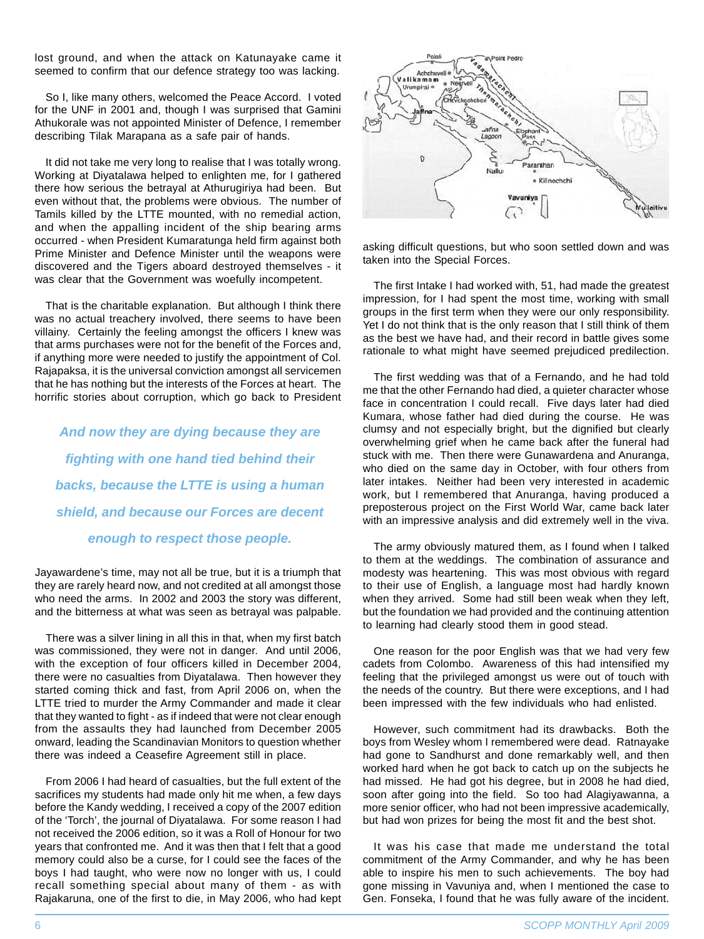lost ground, and when the attack on Katunayake came it seemed to confirm that our defence strategy too was lacking.

So I, like many others, welcomed the Peace Accord. I voted for the UNF in 2001 and, though I was surprised that Gamini Athukorale was not appointed Minister of Defence, I remember describing Tilak Marapana as a safe pair of hands.

It did not take me very long to realise that I was totally wrong. Working at Divatalawa helped to enlighten me, for I gathered there how serious the betrayal at Athurugiriya had been. But even without that, the problems were obvious. The number of Tamils killed by the LTTE mounted, with no remedial action, and when the appalling incident of the ship bearing arms occurred - when President Kumaratunga held firm against both Prime Minister and Defence Minister until the weapons were discovered and the Tigers aboard destroyed themselves - it was clear that the Government was woefully incompetent.

That is the charitable explanation. But although I think there was no actual treachery involved, there seems to have been villainy. Certainly the feeling amongst the officers I knew was that arms purchases were not for the benefit of the Forces and, if anything more were needed to justify the appointment of Col. Rajapaksa, it is the universal conviction amongst all servicemen that he has nothing but the interests of the Forces at heart. The horrific stories about corruption, which go back to President

*And now they are dying because they are fighting with one hand tied behind their backs, because the LTTE is using a human shield, and because our Forces are decent enough to respect those people.*

Jayawardene's time, may not all be true, but it is a triumph that they are rarely heard now, and not credited at all amongst those who need the arms. In 2002 and 2003 the story was different, and the bitterness at what was seen as betrayal was palpable.

There was a silver lining in all this in that, when my first batch was commissioned, they were not in danger. And until 2006, with the exception of four officers killed in December 2004, there were no casualties from Diyatalawa. Then however they started coming thick and fast, from April 2006 on, when the LTTE tried to murder the Army Commander and made it clear that they wanted to fight - as if indeed that were not clear enough from the assaults they had launched from December 2005 onward, leading the Scandinavian Monitors to question whether there was indeed a Ceasefire Agreement still in place.

From 2006 I had heard of casualties, but the full extent of the sacrifices my students had made only hit me when, a few days before the Kandy wedding, I received a copy of the 2007 edition of the 'Torch', the journal of Diyatalawa. For some reason I had not received the 2006 edition, so it was a Roll of Honour for two years that confronted me. And it was then that I felt that a good memory could also be a curse, for I could see the faces of the boys I had taught, who were now no longer with us, I could recall something special about many of them - as with Rajakaruna, one of the first to die, in May 2006, who had kept



asking difficult questions, but who soon settled down and was taken into the Special Forces.

The first Intake I had worked with, 51, had made the greatest impression, for I had spent the most time, working with small groups in the first term when they were our only responsibility. Yet I do not think that is the only reason that I still think of them as the best we have had, and their record in battle gives some rationale to what might have seemed prejudiced predilection.

The first wedding was that of a Fernando, and he had told me that the other Fernando had died, a quieter character whose face in concentration I could recall. Five days later had died Kumara, whose father had died during the course. He was clumsy and not especially bright, but the dignified but clearly overwhelming grief when he came back after the funeral had stuck with me. Then there were Gunawardena and Anuranga, who died on the same day in October, with four others from later intakes. Neither had been very interested in academic work, but I remembered that Anuranga, having produced a preposterous project on the First World War, came back later with an impressive analysis and did extremely well in the viva.

The army obviously matured them, as I found when I talked to them at the weddings. The combination of assurance and modesty was heartening. This was most obvious with regard to their use of English, a language most had hardly known when they arrived. Some had still been weak when they left, but the foundation we had provided and the continuing attention to learning had clearly stood them in good stead.

One reason for the poor English was that we had very few cadets from Colombo. Awareness of this had intensified my feeling that the privileged amongst us were out of touch with the needs of the country. But there were exceptions, and I had been impressed with the few individuals who had enlisted.

However, such commitment had its drawbacks. Both the boys from Wesley whom I remembered were dead. Ratnayake had gone to Sandhurst and done remarkably well, and then worked hard when he got back to catch up on the subjects he had missed. He had got his degree, but in 2008 he had died, soon after going into the field. So too had Alagiyawanna, a more senior officer, who had not been impressive academically, but had won prizes for being the most fit and the best shot.

It was his case that made me understand the total commitment of the Army Commander, and why he has been able to inspire his men to such achievements. The boy had gone missing in Vavuniya and, when I mentioned the case to Gen. Fonseka, I found that he was fully aware of the incident.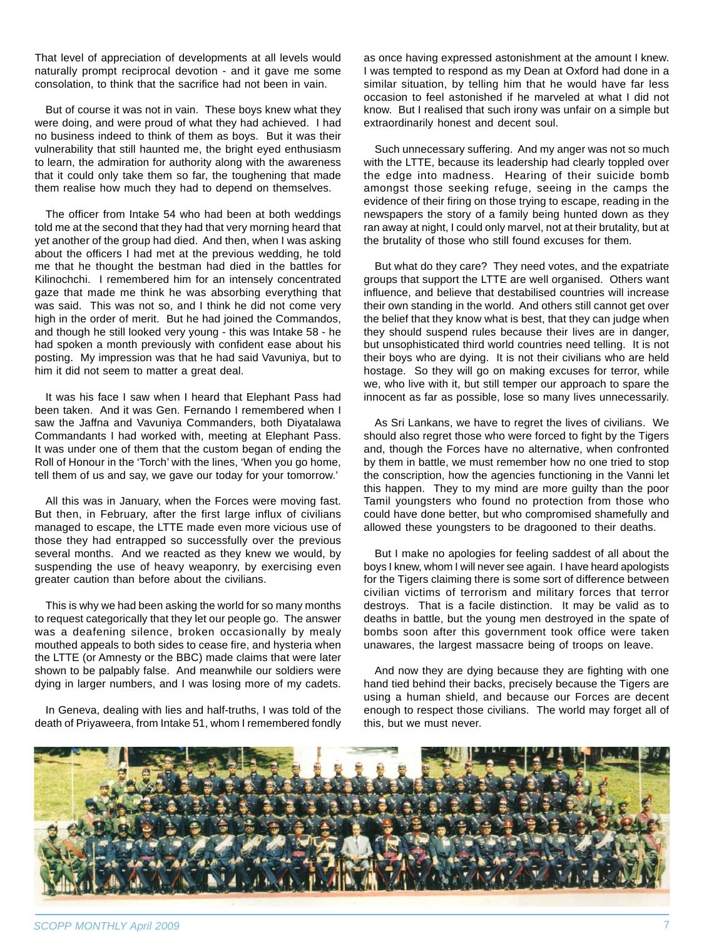That level of appreciation of developments at all levels would naturally prompt reciprocal devotion - and it gave me some consolation, to think that the sacrifice had not been in vain.

But of course it was not in vain. These boys knew what they were doing, and were proud of what they had achieved. I had no business indeed to think of them as boys. But it was their vulnerability that still haunted me, the bright eyed enthusiasm to learn, the admiration for authority along with the awareness that it could only take them so far, the toughening that made them realise how much they had to depend on themselves.

The officer from Intake 54 who had been at both weddings told me at the second that they had that very morning heard that yet another of the group had died. And then, when I was asking about the officers I had met at the previous wedding, he told me that he thought the bestman had died in the battles for Kilinochchi. I remembered him for an intensely concentrated gaze that made me think he was absorbing everything that was said. This was not so, and I think he did not come very high in the order of merit. But he had joined the Commandos, and though he still looked very young - this was Intake 58 - he had spoken a month previously with confident ease about his posting. My impression was that he had said Vavuniya, but to him it did not seem to matter a great deal.

It was his face I saw when I heard that Elephant Pass had been taken. And it was Gen. Fernando I remembered when I saw the Jaffna and Vavuniya Commanders, both Diyatalawa Commandants I had worked with, meeting at Elephant Pass. It was under one of them that the custom began of ending the Roll of Honour in the 'Torch' with the lines, 'When you go home, tell them of us and say, we gave our today for your tomorrow.'

All this was in January, when the Forces were moving fast. But then, in February, after the first large influx of civilians managed to escape, the LTTE made even more vicious use of those they had entrapped so successfully over the previous several months. And we reacted as they knew we would, by suspending the use of heavy weaponry, by exercising even greater caution than before about the civilians.

This is why we had been asking the world for so many months to request categorically that they let our people go. The answer was a deafening silence, broken occasionally by mealy mouthed appeals to both sides to cease fire, and hysteria when the LTTE (or Amnesty or the BBC) made claims that were later shown to be palpably false. And meanwhile our soldiers were dying in larger numbers, and I was losing more of my cadets.

In Geneva, dealing with lies and half-truths, I was told of the death of Priyaweera, from Intake 51, whom I remembered fondly

as once having expressed astonishment at the amount I knew. I was tempted to respond as my Dean at Oxford had done in a similar situation, by telling him that he would have far less occasion to feel astonished if he marveled at what I did not know. But I realised that such irony was unfair on a simple but extraordinarily honest and decent soul.

Such unnecessary suffering. And my anger was not so much with the LTTE, because its leadership had clearly toppled over the edge into madness. Hearing of their suicide bomb amongst those seeking refuge, seeing in the camps the evidence of their firing on those trying to escape, reading in the newspapers the story of a family being hunted down as they ran away at night, I could only marvel, not at their brutality, but at the brutality of those who still found excuses for them.

But what do they care? They need votes, and the expatriate groups that support the LTTE are well organised. Others want influence, and believe that destabilised countries will increase their own standing in the world. And others still cannot get over the belief that they know what is best, that they can judge when they should suspend rules because their lives are in danger, but unsophisticated third world countries need telling. It is not their boys who are dying. It is not their civilians who are held hostage. So they will go on making excuses for terror, while we, who live with it, but still temper our approach to spare the innocent as far as possible, lose so many lives unnecessarily.

As Sri Lankans, we have to regret the lives of civilians. We should also regret those who were forced to fight by the Tigers and, though the Forces have no alternative, when confronted by them in battle, we must remember how no one tried to stop the conscription, how the agencies functioning in the Vanni let this happen. They to my mind are more guilty than the poor Tamil youngsters who found no protection from those who could have done better, but who compromised shamefully and allowed these youngsters to be dragooned to their deaths.

But I make no apologies for feeling saddest of all about the boys I knew, whom I will never see again. I have heard apologists for the Tigers claiming there is some sort of difference between civilian victims of terrorism and military forces that terror destroys. That is a facile distinction. It may be valid as to deaths in battle, but the young men destroyed in the spate of bombs soon after this government took office were taken unawares, the largest massacre being of troops on leave.

And now they are dying because they are fighting with one hand tied behind their backs, precisely because the Tigers are using a human shield, and because our Forces are decent enough to respect those civilians. The world may forget all of this, but we must never.